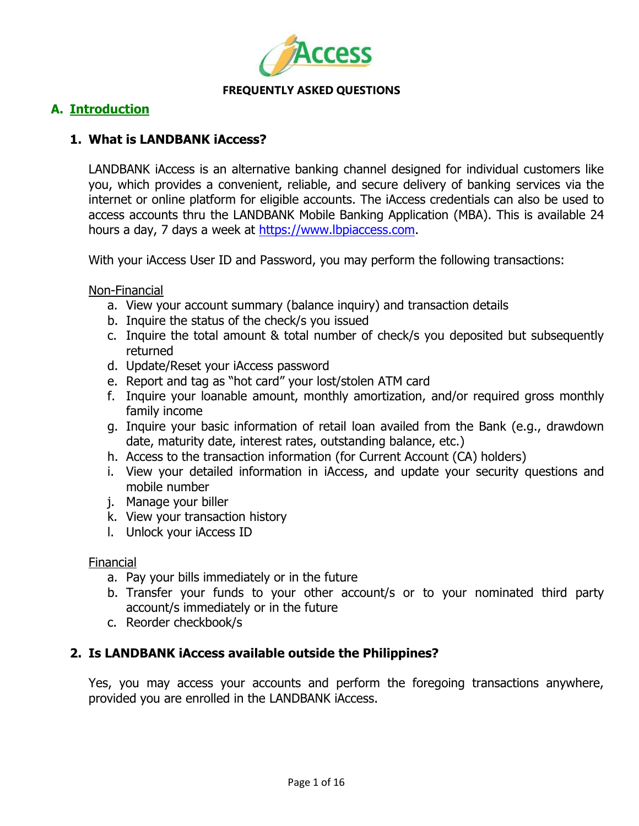

# **A. Introduction**

# **1. What is LANDBANK iAccess?**

LANDBANK iAccess is an alternative banking channel designed for individual customers like you, which provides a convenient, reliable, and secure delivery of banking services via the internet or online platform for eligible accounts. The iAccess credentials can also be used to access accounts thru the LANDBANK Mobile Banking Application (MBA). This is available 24 hours a day, 7 days a week at [https://www.lbpiaccess.com.](https://www.lbpiaccess.com/)

With your iAccess User ID and Password, you may perform the following transactions:

Non-Financial

- a. View your account summary (balance inquiry) and transaction details
- b. Inquire the status of the check/s you issued
- c. Inquire the total amount & total number of check/s you deposited but subsequently returned
- d. Update/Reset your iAccess password
- e. Report and tag as "hot card" your lost/stolen ATM card
- f. Inquire your loanable amount, monthly amortization, and/or required gross monthly family income
- g. Inquire your basic information of retail loan availed from the Bank (e.g., drawdown date, maturity date, interest rates, outstanding balance, etc.)
- h. Access to the transaction information (for Current Account (CA) holders)
- i. View your detailed information in iAccess, and update your security questions and mobile number
- j. Manage your biller
- k. View your transaction history
- l. Unlock your iAccess ID

### Financial

- a. Pay your bills immediately or in the future
- b. Transfer your funds to your other account/s or to your nominated third party account/s immediately or in the future
- c. Reorder checkbook/s

# **2. Is LANDBANK iAccess available outside the Philippines?**

Yes, you may access your accounts and perform the foregoing transactions anywhere, provided you are enrolled in the LANDBANK iAccess.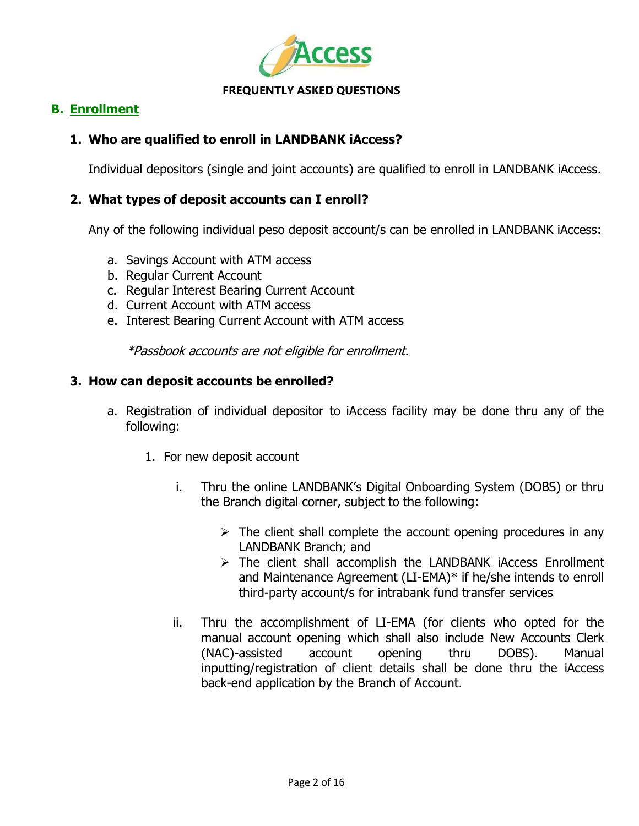

# **B. Enrollment**

# **1. Who are qualified to enroll in LANDBANK iAccess?**

Individual depositors (single and joint accounts) are qualified to enroll in LANDBANK iAccess.

### **2. What types of deposit accounts can I enroll?**

Any of the following individual peso deposit account/s can be enrolled in LANDBANK iAccess:

- a. Savings Account with ATM access
- b. Regular Current Account
- c. Regular Interest Bearing Current Account
- d. Current Account with ATM access
- e. Interest Bearing Current Account with ATM access

\*Passbook accounts are not eligible for enrollment.

### **3. How can deposit accounts be enrolled?**

- a. Registration of individual depositor to iAccess facility may be done thru any of the following:
	- 1. For new deposit account
		- i. Thru the online LANDBANK"s Digital Onboarding System (DOBS) or thru the Branch digital corner, subject to the following:
			- $\triangleright$  The client shall complete the account opening procedures in any LANDBANK Branch; and
			- $\triangleright$  The client shall accomplish the LANDBANK iAccess Enrollment and Maintenance Agreement (LI-EMA)\* if he/she intends to enroll third-party account/s for intrabank fund transfer services
		- ii. Thru the accomplishment of LI-EMA (for clients who opted for the manual account opening which shall also include New Accounts Clerk (NAC)-assisted account opening thru DOBS). Manual inputting/registration of client details shall be done thru the iAccess back-end application by the Branch of Account.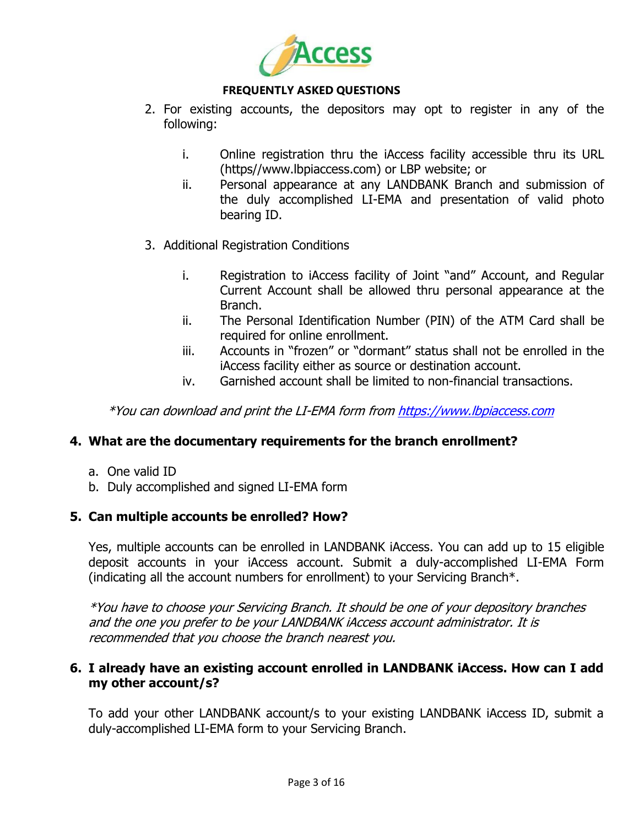

- 2. For existing accounts, the depositors may opt to register in any of the following:
	- i. Online registration thru the iAccess facility accessible thru its URL (https//www.lbpiaccess.com) or LBP website; or
	- ii. Personal appearance at any LANDBANK Branch and submission of the duly accomplished LI-EMA and presentation of valid photo bearing ID.
- 3. Additional Registration Conditions
	- i. Registration to iAccess facility of Joint "and" Account, and Regular Current Account shall be allowed thru personal appearance at the Branch.
	- ii. The Personal Identification Number (PIN) of the ATM Card shall be required for online enrollment.
	- iii. Accounts in "frozen" or "dormant" status shall not be enrolled in the iAccess facility either as source or destination account.
	- iv. Garnished account shall be limited to non-financial transactions.

\*You can download and print the LI-EMA form fro[m https://www.lbpiaccess.com](https://www.lbpiaccess.com/)

# **4. What are the documentary requirements for the branch enrollment?**

- a. One valid ID
- b. Duly accomplished and signed LI-EMA form

### **5. Can multiple accounts be enrolled? How?**

Yes, multiple accounts can be enrolled in LANDBANK iAccess. You can add up to 15 eligible deposit accounts in your iAccess account. Submit a duly-accomplished LI-EMA Form (indicating all the account numbers for enrollment) to your Servicing Branch\*.

\*You have to choose your Servicing Branch. It should be one of your depository branches and the one you prefer to be your LANDBANK iAccess account administrator. It is recommended that you choose the branch nearest you.

# **6. I already have an existing account enrolled in LANDBANK iAccess. How can I add my other account/s?**

To add your other LANDBANK account/s to your existing LANDBANK iAccess ID, submit a duly-accomplished LI-EMA form to your Servicing Branch.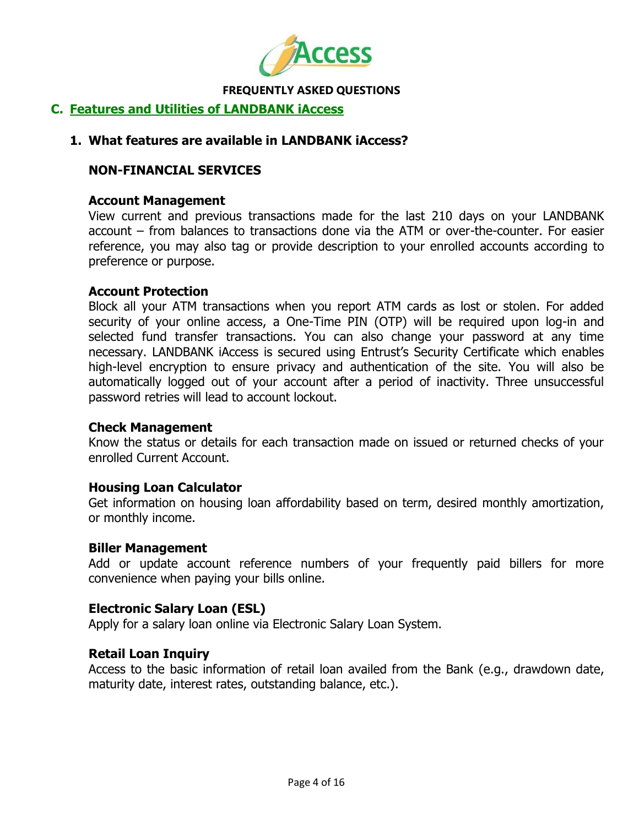

# **C. Features and Utilities of LANDBANK iAccess**

### **1. What features are available in LANDBANK iAccess?**

### **NON-FINANCIAL SERVICES**

#### **Account Management**

View current and previous transactions made for the last 210 days on your LANDBANK account – from balances to transactions done via the ATM or over-the-counter. For easier reference, you may also tag or provide description to your enrolled accounts according to preference or purpose.

### **Account Protection**

Block all your ATM transactions when you report ATM cards as lost or stolen. For added security of your online access, a One-Time PIN (OTP) will be required upon log-in and selected fund transfer transactions. You can also change your password at any time necessary. LANDBANK iAccess is secured using Entrust"s Security Certificate which enables high-level encryption to ensure privacy and authentication of the site. You will also be automatically logged out of your account after a period of inactivity. Three unsuccessful password retries will lead to account lockout.

### **Check Management**

Know the status or details for each transaction made on issued or returned checks of your enrolled Current Account.

### **Housing Loan Calculator**

Get information on housing loan affordability based on term, desired monthly amortization, or monthly income.

### **Biller Management**

Add or update account reference numbers of your frequently paid billers for more convenience when paying your bills online.

### **Electronic Salary Loan (ESL)**

Apply for a salary loan online via Electronic Salary Loan System.

#### **Retail Loan Inquiry**

Access to the basic information of retail loan availed from the Bank (e.g., drawdown date, maturity date, interest rates, outstanding balance, etc.).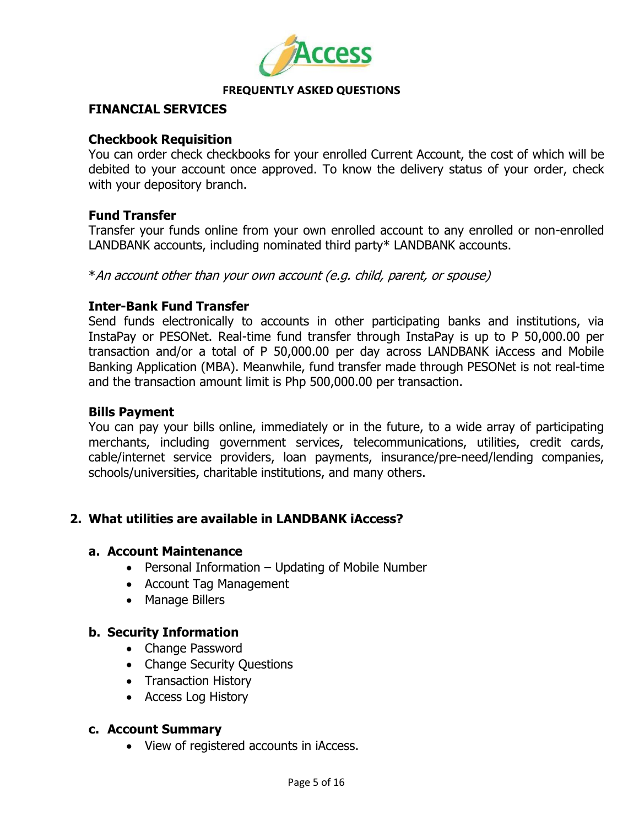

# **FINANCIAL SERVICES**

### **Checkbook Requisition**

You can order check checkbooks for your enrolled Current Account, the cost of which will be debited to your account once approved. To know the delivery status of your order, check with your depository branch.

### **Fund Transfer**

Transfer your funds online from your own enrolled account to any enrolled or non-enrolled LANDBANK accounts, including nominated third party\* LANDBANK accounts.

\*An account other than your own account (e.g. child, parent, or spouse)

### **Inter-Bank Fund Transfer**

Send funds electronically to accounts in other participating banks and institutions, via InstaPay or PESONet. Real-time fund transfer through InstaPay is up to P 50,000.00 per transaction and/or a total of P 50,000.00 per day across LANDBANK iAccess and Mobile Banking Application (MBA). Meanwhile, fund transfer made through PESONet is not real-time and the transaction amount limit is Php 500,000.00 per transaction.

### **Bills Payment**

You can pay your bills online, immediately or in the future, to a wide array of participating merchants, including government services, telecommunications, utilities, credit cards, cable/internet service providers, loan payments, insurance/pre-need/lending companies, schools/universities, charitable institutions, and many others.

# **2. What utilities are available in LANDBANK iAccess?**

### **a. Account Maintenance**

- Personal Information Updating of Mobile Number
- Account Tag Management
- Manage Billers

### **b. Security Information**

- Change Password
- Change Security Questions
- Transaction History
- Access Log History

### **c. Account Summary**

View of registered accounts in iAccess.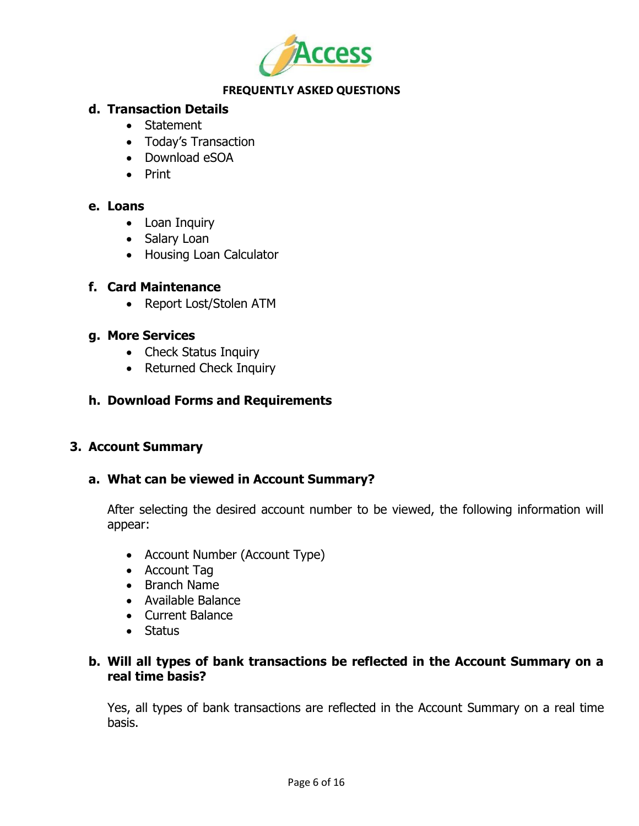

# **d. Transaction Details**

- Statement
- Today's Transaction
- Download eSOA
- Print

### **e. Loans**

- Loan Inquiry
- Salary Loan
- Housing Loan Calculator

### **f. Card Maintenance**

• Report Lost/Stolen ATM

# **g. More Services**

- Check Status Inquiry
- Returned Check Inquiry

# **h. Download Forms and Requirements**

# **3. Account Summary**

# **a. What can be viewed in Account Summary?**

After selecting the desired account number to be viewed, the following information will appear:

- Account Number (Account Type)
- Account Tag
- Branch Name
- Available Balance
- Current Balance
- Status

# **b. Will all types of bank transactions be reflected in the Account Summary on a real time basis?**

Yes, all types of bank transactions are reflected in the Account Summary on a real time basis.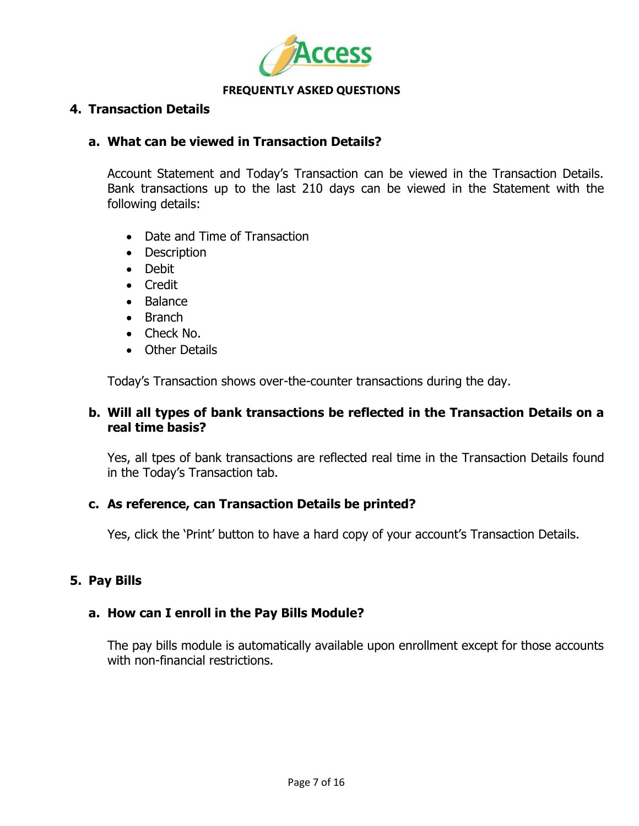

### **4. Transaction Details**

### **a. What can be viewed in Transaction Details?**

Account Statement and Today"s Transaction can be viewed in the Transaction Details. Bank transactions up to the last 210 days can be viewed in the Statement with the following details:

- Date and Time of Transaction
- Description
- Debit
- Credit
- Balance
- Branch
- Check No.
- Other Details

Today"s Transaction shows over-the-counter transactions during the day.

# **b. Will all types of bank transactions be reflected in the Transaction Details on a real time basis?**

Yes, all tpes of bank transactions are reflected real time in the Transaction Details found in the Today"s Transaction tab.

### **c. As reference, can Transaction Details be printed?**

Yes, click the 'Print' button to have a hard copy of your account's Transaction Details.

# **5. Pay Bills**

# **a. How can I enroll in the Pay Bills Module?**

The pay bills module is automatically available upon enrollment except for those accounts with non-financial restrictions.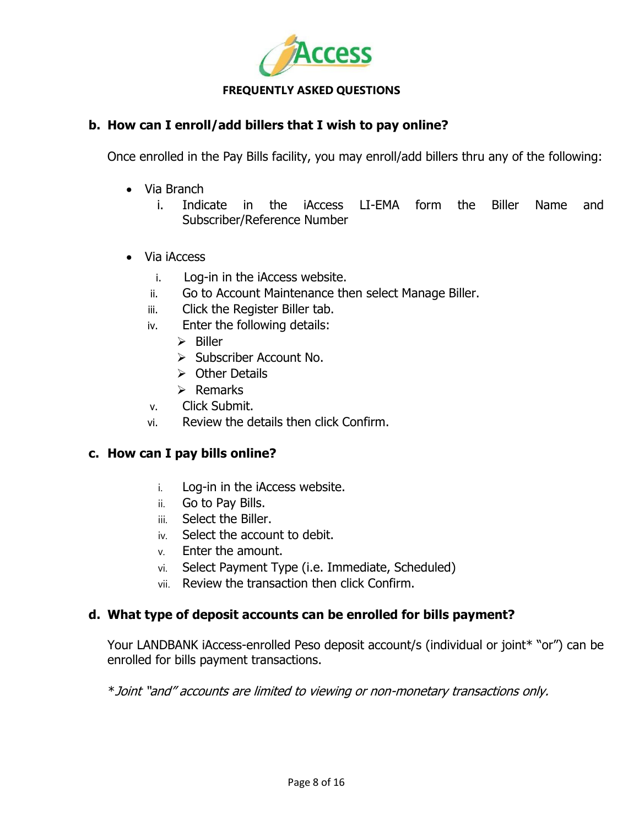

# **b. How can I enroll/add billers that I wish to pay online?**

Once enrolled in the Pay Bills facility, you may enroll/add billers thru any of the following:

- Via Branch
	- i. Indicate in the iAccess LI-EMA form the Biller Name and Subscriber/Reference Number
- Via iAccess
	- i. Log-in in the iAccess website.
	- ii. Go to Account Maintenance then select Manage Biller.
	- iii. Click the Register Biller tab.
	- iv. Enter the following details:
		- $\triangleright$  Biller
		- $\triangleright$  Subscriber Account No.
		- $\triangleright$  Other Details
		- $\triangleright$  Remarks
	- v. Click Submit.
	- vi. Review the details then click Confirm.

### **c. How can I pay bills online?**

- i. Log-in in the iAccess website.
- ii. Go to Pay Bills.
- iii. Select the Biller.
- iv. Select the account to debit.
- v. Enter the amount.
- vi. Select Payment Type (i.e. Immediate, Scheduled)
- vii. Review the transaction then click Confirm.

# **d. What type of deposit accounts can be enrolled for bills payment?**

Your LANDBANK iAccess-enrolled Peso deposit account/s (individual or joint\* "or") can be enrolled for bills payment transactions.

\*Joint "and" accounts are limited to viewing or non-monetary transactions only.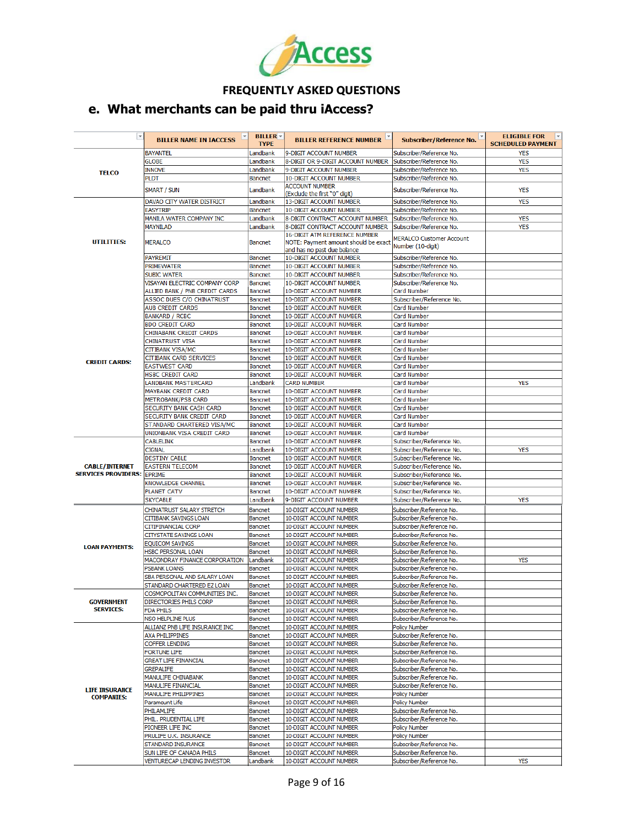

# **e. What merchants can be paid thru iAccess?**

| $\overline{\phantom{a}}$                   | <b>BILLER NAME IN IACCESS</b>                         | <b>BILLER</b> $\sim$<br><b>TYPE</b> | <b>BILLER REFERENCE NUMBER</b>                                      | Subscriber/Reference No.                             | <b>ELIGIBLE FOR</b><br>$\vert \nabla$<br><b>SCHEDULED PAYMENT</b> |
|--------------------------------------------|-------------------------------------------------------|-------------------------------------|---------------------------------------------------------------------|------------------------------------------------------|-------------------------------------------------------------------|
|                                            | <b>BAYANTEL</b>                                       | Landbank                            | 9-DIGIT ACCOUNT NUMBER                                              | Subscriber/Reference No.                             | <b>YES</b>                                                        |
|                                            | <b>GLOBE</b>                                          | Landbank                            | 8-DIGIT OR 9-DIGIT ACCOUNT NUMBER                                   | Subscriber/Reference No.                             | <b>YES</b>                                                        |
| <b>TELCO</b>                               | <b>INNOVE</b>                                         | Landbank                            | 9-DIGIT ACCOUNT NUMBER                                              | Subscriber/Reference No.                             | <b>YES</b>                                                        |
|                                            | <b>PLDT</b>                                           | <b>Bancnet</b>                      | 10-DIGIT ACCOUNT NUMBER                                             | Subscriber/Reference No.                             |                                                                   |
|                                            | <b>SMART / SUN</b>                                    | Landbank                            | <b>ACCOUNT NUMBER</b><br>(Exclude the first "0" digit)              | Subscriber/Reference No.                             | <b>YES</b>                                                        |
|                                            | DAVAO CITY WATER DISTRICT                             | Landbank                            | 13-DIGIT ACCOUNT NUMBER                                             | Subscriber/Reference No.                             | <b>YES</b>                                                        |
|                                            | <b>EASYTRIP</b>                                       | <b>Bancnet</b>                      | <b>10-DIGIT ACCOUNT NUMBER</b>                                      | Subscriber/Reference No.                             |                                                                   |
|                                            | MANILA WATER COMPANY INC                              | Landbank<br>Landbank                | 8-DIGIT CONTRACT ACCOUNT NUMBER                                     | Subscriber/Reference No.<br>Subscriber/Reference No. | <b>YES</b><br><b>YES</b>                                          |
|                                            | MAYNILAD                                              |                                     | 8-DIGIT CONTRACT ACCOUNT NUMBER<br>16-DIGIT ATM REFERENCE NUMBER    |                                                      |                                                                   |
| UTILITIES:                                 | <b>MERALCO</b>                                        | <b>Bancnet</b>                      | NOTE: Payment amount should be exact<br>and has no past due balance | <b>MERALCO Customer Account</b><br>Number (10-digit) |                                                                   |
|                                            | <b>PAYREMIT</b>                                       | <b>Bancnet</b>                      | 10-DIGIT ACCOUNT NUMBER                                             | Subscriber/Reference No.                             |                                                                   |
|                                            | PRIMEWATER                                            | <b>Bancnet</b>                      | <b>10-DIGIT ACCOUNT NUMBER</b>                                      | Subscriber/Reference No.                             |                                                                   |
|                                            | <b>SUBIC WATER</b>                                    | <b>Bancnet</b>                      | 10-DIGIT ACCOUNT NUMBER                                             | Subscriber/Reference No.                             |                                                                   |
|                                            | VISAYAN ELECTRIC COMPANY CORP                         | Bancnet                             | 10-DIGIT ACCOUNT NUMBER                                             | Subscriber/Reference No.                             |                                                                   |
|                                            | ALLIED BANK / PNB CREDIT CARDS                        | <b>Bancnet</b>                      | 10-DIGIT ACCOUNT NUMBER                                             | Card Number                                          |                                                                   |
|                                            | <b>ASSOC DUES C/O CHINATRUST</b>                      | <b>Bancnet</b>                      | 10-DIGIT ACCOUNT NUMBER                                             | Subscriber/Reference No.                             |                                                                   |
|                                            | <b>AUB CREDIT CARDS</b>                               | <b>Bancnet</b>                      | 10-DIGIT ACCOUNT NUMBER                                             | Card Number                                          |                                                                   |
|                                            | <b>BANKARD / RCBC</b>                                 | <b>Bancnet</b>                      | 10-DIGIT ACCOUNT NUMBER                                             | Card Number                                          |                                                                   |
|                                            | <b>BDO CREDIT CARD</b>                                | <b>Bancnet</b>                      | 10-DIGIT ACCOUNT NUMBER                                             | Card Number                                          |                                                                   |
|                                            | CHINABANK CREDIT CARDS                                | <b>Bancnet</b>                      | 10-DIGIT ACCOUNT NUMBER                                             | Card Number                                          |                                                                   |
|                                            | <b>CHINATRUST VISA</b>                                | <b>Bancnet</b>                      | 10-DIGIT ACCOUNT NUMBER                                             | Card Number                                          |                                                                   |
|                                            | CITIBANK VISA/MC                                      | <b>Bancnet</b>                      | 10-DIGIT ACCOUNT NUMBER                                             | Card Number                                          |                                                                   |
| <b>CREDIT CARDS:</b>                       | <b>CITIBANK CARD SERVICES</b>                         | <b>Bancnet</b>                      | 10-DIGIT ACCOUNT NUMBER                                             | Card Number                                          |                                                                   |
|                                            | <b>EASTWEST CARD</b>                                  | <b>Bancnet</b>                      | 10-DIGIT ACCOUNT NUMBER                                             | Card Number                                          |                                                                   |
|                                            | <b>HSBC CREDIT CARD</b><br><b>LANDBANK MASTERCARD</b> | <b>Bancnet</b>                      | 10-DIGIT ACCOUNT NUMBER<br><b>CARD NUMBER</b>                       | Card Number                                          | <b>YES</b>                                                        |
|                                            | <b>MAYBANK CREDIT CARD</b>                            | Landbank<br><b>Bancnet</b>          | 10-DIGIT ACCOUNT NUMBER                                             | Card Number<br>Card Number                           |                                                                   |
|                                            | <b>METROBANK/PSB CARD</b>                             | <b>Bancnet</b>                      | 10-DIGIT ACCOUNT NUMBER                                             | Card Number                                          |                                                                   |
|                                            | SECURITY BANK CASH CARD                               | <b>Bancnet</b>                      | 10-DIGIT ACCOUNT NUMBER                                             | Card Number                                          |                                                                   |
|                                            | SECURITY BANK CREDIT CARD                             | Bancnet                             | 10-DIGIT ACCOUNT NUMBER                                             | Card Number                                          |                                                                   |
|                                            | STANDARD CHARTERED VISA/MC                            | <b>Bancnet</b>                      | 10-DIGIT ACCOUNT NUMBER                                             | Card Number                                          |                                                                   |
|                                            | UNIONBANK VISA CREDIT CARD                            | <b>Bancnet</b>                      | 10-DIGIT ACCOUNT NUMBER                                             | Card Number                                          |                                                                   |
|                                            | <b>CABLELINK</b>                                      | Bancnet                             | 10-DIGIT ACCOUNT NUMBER                                             | Subscriber/Reference No.                             |                                                                   |
|                                            | <b>CIGNAL</b>                                         | Landbank                            | 10-DIGIT ACCOUNT NUMBER                                             | Subscriber/Reference No.                             | <b>YES</b>                                                        |
|                                            | <b>DESTINY CABLE</b>                                  | <b>Bancnet</b>                      | 10-DIGIT ACCOUNT NUMBER                                             | Subscriber/Reference No.                             |                                                                   |
| <b>CABLE/INTERNET</b>                      | <b>EASTERN TELECOM</b>                                | Bancnet                             | 10-DIGIT ACCOUNT NUMBER                                             | Subscriber/Reference No.                             |                                                                   |
| <b>SERVICES PROVIDERS: EPRIME</b>          |                                                       | <b>Bancnet</b>                      | 10-DIGIT ACCOUNT NUMBER                                             | Subscriber/Reference No.                             |                                                                   |
|                                            | KNOWLEDGE CHANNEL                                     | <b>Bancnet</b>                      | 10-DIGIT ACCOUNT NUMBER                                             | Subscriber/Reference No.                             |                                                                   |
|                                            | <b>PLANET CATV</b>                                    | <b>Bancnet</b>                      | 10-DIGIT ACCOUNT NUMBER                                             | Subscriber/Reference No.                             |                                                                   |
|                                            | <b>SKYCABLE</b>                                       | Landbank                            | 9-DIGIT ACCOUNT NUMBER                                              | Subscriber/Reference No.                             | <b>YES</b>                                                        |
|                                            | CHINATRUST SALARY STRETCH                             | Bancnet                             | 10-DIGIT ACCOUNT NUMBER                                             | Subscriber/Reference No.                             |                                                                   |
|                                            | <b>CITIBANK SAVINGS LOAN</b>                          | Bancnet                             | 10-DIGIT ACCOUNT NUMBER                                             | Subscriber/Reference No.                             |                                                                   |
|                                            | CITIFINANCIAL CORP                                    | Bancnet                             | 10-DIGIT ACCOUNT NUMBER                                             | Subscriber/Reference No.                             |                                                                   |
|                                            | CITYSTATE SAVINGS LOAN                                | Bancnet                             | 10-DIGIT ACCOUNT NUMBER                                             | Subscriber/Reference No.                             |                                                                   |
| <b>LOAN PAYMENTS:</b>                      | <b>EQUICOM SAVINGS</b>                                | Bancnet                             | 10-DIGIT ACCOUNT NUMBER                                             | Subscriber/Reference No.                             |                                                                   |
|                                            | <b>HSBC PERSONAL LOAN</b>                             | Bancnet                             | 10-DIGIT ACCOUNT NUMBER                                             | Subscriber/Reference No.                             |                                                                   |
|                                            | MACONDRAY FINANCE CORPORATION                         | Landbank                            | 10-DIGIT ACCOUNT NUMBER                                             | Subscriber/Reference No.                             | <b>YES</b>                                                        |
|                                            | PSBANK LOANS                                          | Bancnet                             | 10-DIGIT ACCOUNT NUMBER                                             | Subscriber/Reference No.                             |                                                                   |
|                                            | SBA PERSONAL AND SALARY LOAN                          | Bancnet                             | 10-DIGIT ACCOUNT NUMBER                                             | Subscriber/Reference No.                             |                                                                   |
|                                            | STANDARD CHARTERED EZ LOAN                            | Bancnet                             | 10-DIGIT ACCOUNT NUMBER                                             | Subscriber/Reference No.                             |                                                                   |
|                                            | COSMOPOLITAN COMMUNITIES INC.                         | Bancnet                             | 10-DIGIT ACCOUNT NUMBER                                             | Subscriber/Reference No.                             |                                                                   |
| <b>GOVERNMENT</b><br><b>SERVICES:</b>      | DIRECTORIES PHILS CORP                                | Bancnet                             | 10-DIGIT ACCOUNT NUMBER                                             | Subscriber/Reference No.                             |                                                                   |
|                                            | <b>FDA PHILS</b><br>NSO HELPLINE PLUS                 | Bancnet<br>Bancnet                  | 10-DIGIT ACCOUNT NUMBER                                             | Subscriber/Reference No.<br>Subscriber/Reference No. |                                                                   |
|                                            | ALLIANZ PNB LIFE INSURANCE INC                        | Bancnet                             | 10-DIGIT ACCOUNT NUMBER<br>10-DIGIT ACCOUNT NUMBER                  | <b>Policy Number</b>                                 |                                                                   |
|                                            | <b>AXA PHILIPPINES</b>                                | Bancnet                             | 10-DIGIT ACCOUNT NUMBER                                             | Subscriber/Reference No.                             |                                                                   |
|                                            | COFFER LENDING                                        | Bancnet                             | 10-DIGIT ACCOUNT NUMBER                                             | Subscriber/Reference No.                             |                                                                   |
|                                            | <b>FORTUNE LIFE</b>                                   | Bancnet                             | 10-DIGIT ACCOUNT NUMBER                                             | Subscriber/Reference No.                             |                                                                   |
|                                            | <b>GREAT LIFE FINANCIAL</b>                           | <b>Bancnet</b>                      | 10-DIGIT ACCOUNT NUMBER                                             | Subscriber/Reference No.                             |                                                                   |
|                                            | <b>GREPALIFE</b>                                      | Bancnet                             | 10-DIGIT ACCOUNT NUMBER                                             | Subscriber/Reference No.                             |                                                                   |
|                                            | MANULIFE CHINABANK                                    | Bancnet                             | 10-DIGIT ACCOUNT NUMBER                                             | Subscriber/Reference No.                             |                                                                   |
|                                            | MANULIFE FINANCIAL                                    | <b>Bancnet</b>                      | 10-DIGIT ACCOUNT NUMBER                                             | Subscriber/Reference No.                             |                                                                   |
| <b>LIFE INSURANCE</b><br><b>COMPANIES:</b> | MANULIFE PHILIPPINES                                  | Bancnet                             | 10-DIGIT ACCOUNT NUMBER                                             | Policy Number                                        |                                                                   |
|                                            | Paramount Life                                        | Bancnet                             | 10-DIGIT ACCOUNT NUMBER                                             | Policy Number                                        |                                                                   |
|                                            | PHILAMLIFE                                            | Bancnet                             | 10-DIGIT ACCOUNT NUMBER                                             | Subscriber/Reference No.                             |                                                                   |
|                                            | PHIL. PRUDENTIAL LIFE                                 | Bancnet                             | 10-DIGIT ACCOUNT NUMBER                                             | Subscriber/Reference No.                             |                                                                   |
|                                            | PIONEER LIFE INC                                      | Bancnet                             | 10-DIGIT ACCOUNT NUMBER                                             | <b>Policy Number</b>                                 |                                                                   |
|                                            | PRULIFE U.K. INSURANCE                                | Bancnet                             | 10-DIGIT ACCOUNT NUMBER                                             | <b>Policy Number</b>                                 |                                                                   |
|                                            | STANDARD INSURANCE                                    | Bancnet                             | 10-DIGIT ACCOUNT NUMBER                                             | Subscriber/Reference No.                             |                                                                   |
|                                            | SUN LIFE OF CANADA PHILS                              | Bancnet                             | 10-DIGIT ACCOUNT NUMBER                                             | Subscriber/Reference No.                             |                                                                   |
|                                            | VENTURECAP LENDING INVESTOR                           | ll andhank                          | 10-DIGIT ACCOUNT NUMBER                                             | Subscriber/Reference No.                             | <b>YFS</b>                                                        |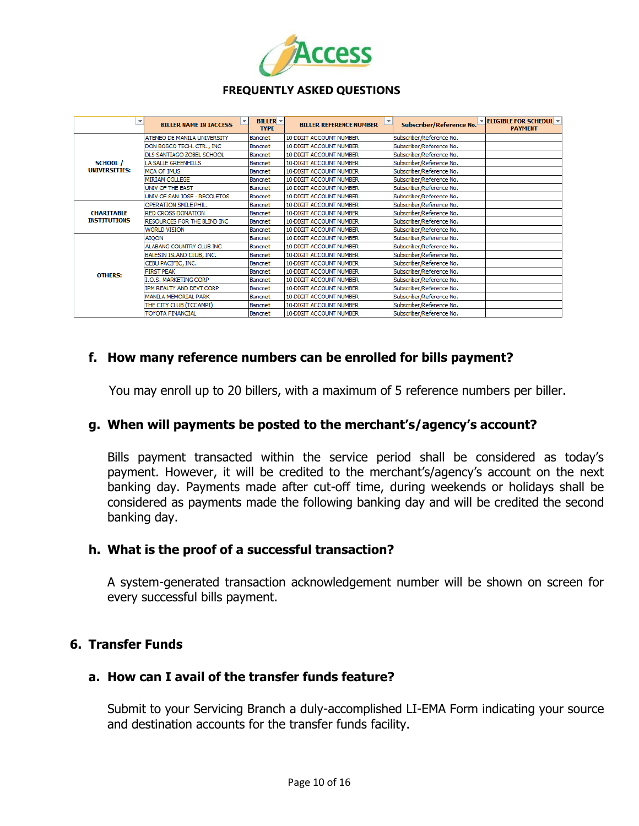

| v                                        | v<br><b>BILLER NAME IN IACCESS</b> | <b>BILLER</b> –<br><b>TYPE</b> | $\overline{\mathbf{v}}$<br><b>BILLER REFERENCE NUMBER</b> | Subscriber/Reference No. | $\triangledown$ <b>ELIGIBLE FOR SCHEDUL</b> $\triangledown$<br><b>PAYMENT</b> |
|------------------------------------------|------------------------------------|--------------------------------|-----------------------------------------------------------|--------------------------|-------------------------------------------------------------------------------|
| <b>SCHOOL</b> /<br><b>UNIVERSITIES:</b>  | <b>ATENEO DE MANILA UNIVERSITY</b> | Bancnet                        | 10-DIGIT ACCOUNT NUMBER                                   | Subscriber/Reference No. |                                                                               |
|                                          | DON BOSCO TECH. CTR., INC          | Bancnet                        | 10-DIGIT ACCOUNT NUMBER                                   | Subscriber/Reference No. |                                                                               |
|                                          | <b>DLS SANTIAGO ZOBEL SCHOOL</b>   | Bancnet                        | 10-DIGIT ACCOUNT NUMBER                                   | Subscriber/Reference No. |                                                                               |
|                                          | LA SALLE GREENHILLS                | Bancnet                        | 10-DIGIT ACCOUNT NUMBER                                   | Subscriber/Reference No. |                                                                               |
|                                          | <b>MCA OF IMUS</b>                 | Bancnet                        | 10-DIGIT ACCOUNT NUMBER                                   | Subscriber/Reference No. |                                                                               |
|                                          | MIRIAM COLLEGE                     | Bancnet                        | 10-DIGIT ACCOUNT NUMBER                                   | Subscriber/Reference No. |                                                                               |
|                                          | UNIV OF THE EAST                   | Bancnet                        | 10-DIGIT ACCOUNT NUMBER                                   | Subscriber/Reference No. |                                                                               |
|                                          | UNIV OF SAN JOSE - RECOLETOS       | Bancnet                        | 10-DIGIT ACCOUNT NUMBER                                   | Subscriber/Reference No. |                                                                               |
| <b>CHARITABLE</b><br><b>INSTITUTIONS</b> | <b>OPERATION SMILE PHIL.</b>       | <b>Bancnet</b>                 | 10-DIGIT ACCOUNT NUMBER                                   | Subscriber/Reference No. |                                                                               |
|                                          | <b>RED CROSS DONATION</b>          | Bancnet                        | 10-DIGIT ACCOUNT NUMBER                                   | Subscriber/Reference No. |                                                                               |
|                                          | RESOURCES FOR THE BLIND INC        | Bancnet                        | 10-DIGIT ACCOUNT NUMBER                                   | Subscriber/Reference No. |                                                                               |
|                                          | <b>WORLD VISION</b>                | Bancnet                        | 10-DIGIT ACCOUNT NUMBER                                   | Subscriber/Reference No. |                                                                               |
| <b>OTHERS:</b>                           | <b>AIQON</b>                       | Bancnet                        | 10-DIGIT ACCOUNT NUMBER                                   | Subscriber/Reference No. |                                                                               |
|                                          | ALABANG COUNTRY CLUB INC           | Bancnet                        | 10-DIGIT ACCOUNT NUMBER                                   | Subscriber/Reference No. |                                                                               |
|                                          | BALESIN ISLAND CLUB, INC.          | Bancnet                        | 10-DIGIT ACCOUNT NUMBER                                   | Subscriber/Reference No. |                                                                               |
|                                          | CEBU PACIFIC, INC.                 | Bancnet                        | 10-DIGIT ACCOUNT NUMBER                                   | Subscriber/Reference No. |                                                                               |
|                                          | <b>FIRST PEAK</b>                  | Bancnet                        | 10-DIGIT ACCOUNT NUMBER                                   | Subscriber/Reference No. |                                                                               |
|                                          | <b>I.O.S. MARKETING CORP</b>       | Bancnet                        | 10-DIGIT ACCOUNT NUMBER                                   | Subscriber/Reference No. |                                                                               |
|                                          | IPM REALTY AND DEVT CORP           | Bancnet                        | 10-DIGIT ACCOUNT NUMBER                                   | Subscriber/Reference No. |                                                                               |
|                                          | <b>MANILA MEMORIAL PARK</b>        | Bancnet                        | 10-DIGIT ACCOUNT NUMBER                                   | Subscriber/Reference No. |                                                                               |
|                                          | THE CITY CLUB (TCCAMPI)            | <b>Bancnet</b>                 | 10-DIGIT ACCOUNT NUMBER                                   | Subscriber/Reference No. |                                                                               |
|                                          | <b>TOYOTA FINANCIAL</b>            | Bancnet                        | 10-DIGIT ACCOUNT NUMBER                                   | Subscriber/Reference No. |                                                                               |

# **f. How many reference numbers can be enrolled for bills payment?**

You may enroll up to 20 billers, with a maximum of 5 reference numbers per biller.

### **g. When will payments be posted to the merchant's/agency's account?**

Bills payment transacted within the service period shall be considered as today"s payment. However, it will be credited to the merchant"s/agency"s account on the next banking day. Payments made after cut-off time, during weekends or holidays shall be considered as payments made the following banking day and will be credited the second banking day.

### **h. What is the proof of a successful transaction?**

A system-generated transaction acknowledgement number will be shown on screen for every successful bills payment.

# **6. Transfer Funds**

### **a. How can I avail of the transfer funds feature?**

Submit to your Servicing Branch a duly-accomplished LI-EMA Form indicating your source and destination accounts for the transfer funds facility.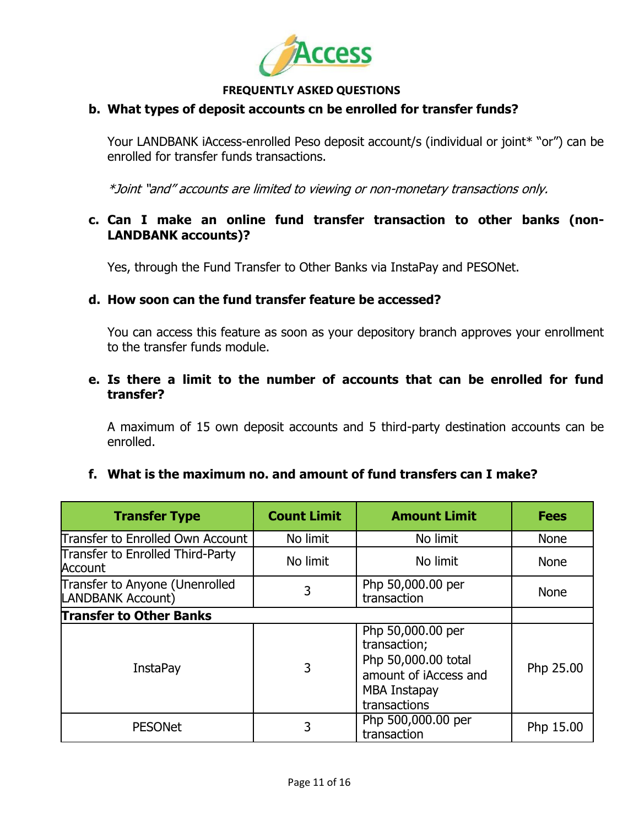

# **b. What types of deposit accounts cn be enrolled for transfer funds?**

Your LANDBANK iAccess-enrolled Peso deposit account/s (individual or joint\* "or") can be enrolled for transfer funds transactions.

\*Joint "and" accounts are limited to viewing or non-monetary transactions only.

# **c. Can I make an online fund transfer transaction to other banks (non-LANDBANK accounts)?**

Yes, through the Fund Transfer to Other Banks via InstaPay and PESONet.

### **d. How soon can the fund transfer feature be accessed?**

You can access this feature as soon as your depository branch approves your enrollment to the transfer funds module.

# **e. Is there a limit to the number of accounts that can be enrolled for fund transfer?**

A maximum of 15 own deposit accounts and 5 third-party destination accounts can be enrolled.

### **f. What is the maximum no. and amount of fund transfers can I make?**

| <b>Transfer Type</b>                                | <b>Count Limit</b> | <b>Amount Limit</b>                                                                                               | <b>Fees</b> |  |  |
|-----------------------------------------------------|--------------------|-------------------------------------------------------------------------------------------------------------------|-------------|--|--|
| Transfer to Enrolled Own Account                    | No limit           | No limit                                                                                                          | None        |  |  |
| Transfer to Enrolled Third-Party<br>Account         | No limit           | No limit                                                                                                          | <b>None</b> |  |  |
| Transfer to Anyone (Unenrolled<br>LANDBANK Account) | 3                  | Php 50,000.00 per<br>transaction                                                                                  | None        |  |  |
| <b>Transfer to Other Banks</b>                      |                    |                                                                                                                   |             |  |  |
| <b>InstaPay</b>                                     | 3                  | Php 50,000.00 per<br>transaction;<br>Php 50,000.00 total<br>amount of iAccess and<br>MBA Instapay<br>transactions | Php 25.00   |  |  |
| <b>PESONet</b>                                      | 3                  | Php 500,000.00 per<br>transaction                                                                                 | Php 15.00   |  |  |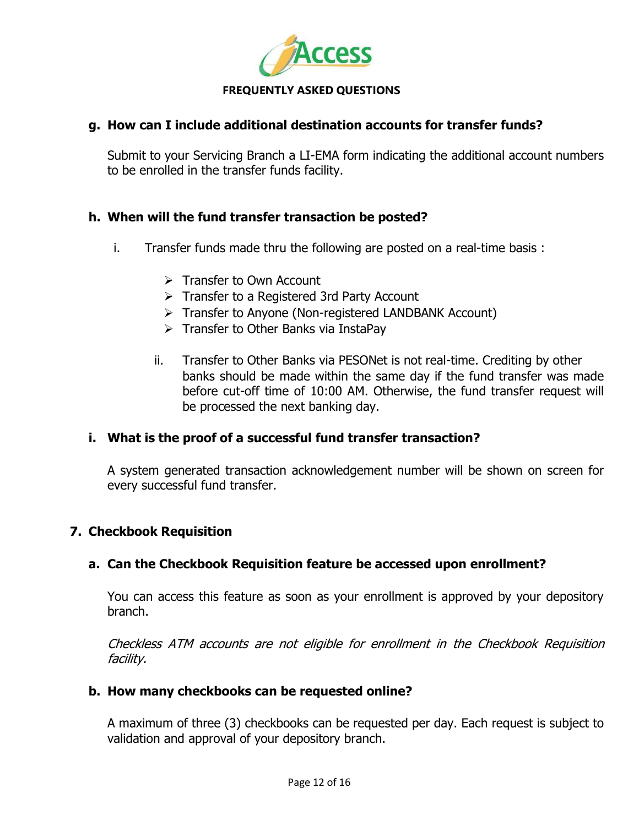

# **g. How can I include additional destination accounts for transfer funds?**

Submit to your Servicing Branch a LI-EMA form indicating the additional account numbers to be enrolled in the transfer funds facility.

# **h. When will the fund transfer transaction be posted?**

- i. Transfer funds made thru the following are posted on a real-time basis :
	- $\triangleright$  Transfer to Own Account
	- $\triangleright$  Transfer to a Registered 3rd Party Account
	- $\triangleright$  Transfer to Anyone (Non-registered LANDBANK Account)
	- $\triangleright$  Transfer to Other Banks via InstaPay
	- ii. Transfer to Other Banks via PESONet is not real-time. Crediting by other banks should be made within the same day if the fund transfer was made before cut-off time of 10:00 AM. Otherwise, the fund transfer request will be processed the next banking day.

# **i. What is the proof of a successful fund transfer transaction?**

A system generated transaction acknowledgement number will be shown on screen for every successful fund transfer.

# **7. Checkbook Requisition**

# **a. Can the Checkbook Requisition feature be accessed upon enrollment?**

You can access this feature as soon as your enrollment is approved by your depository branch.

Checkless ATM accounts are not eligible for enrollment in the Checkbook Requisition facility.

### **b. How many checkbooks can be requested online?**

A maximum of three (3) checkbooks can be requested per day. Each request is subject to validation and approval of your depository branch.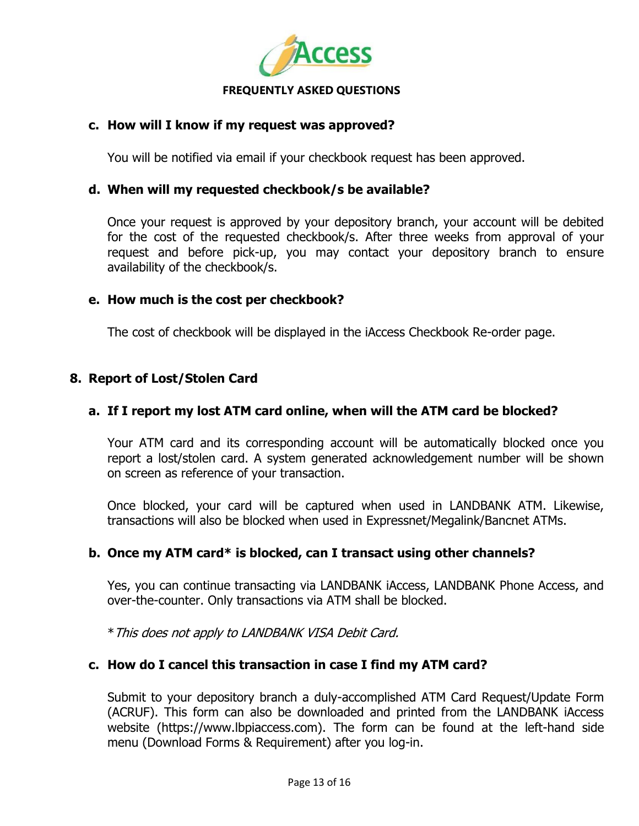

# **c. How will I know if my request was approved?**

You will be notified via email if your checkbook request has been approved.

### **d. When will my requested checkbook/s be available?**

Once your request is approved by your depository branch, your account will be debited for the cost of the requested checkbook/s. After three weeks from approval of your request and before pick-up, you may contact your depository branch to ensure availability of the checkbook/s.

# **e. How much is the cost per checkbook?**

The cost of checkbook will be displayed in the iAccess Checkbook Re-order page.

# **8. Report of Lost/Stolen Card**

# **a. If I report my lost ATM card online, when will the ATM card be blocked?**

Your ATM card and its corresponding account will be automatically blocked once you report a lost/stolen card. A system generated acknowledgement number will be shown on screen as reference of your transaction.

Once blocked, your card will be captured when used in LANDBANK ATM. Likewise, transactions will also be blocked when used in Expressnet/Megalink/Bancnet ATMs.

### **b. Once my ATM card\* is blocked, can I transact using other channels?**

Yes, you can continue transacting via LANDBANK iAccess, LANDBANK Phone Access, and over-the-counter. Only transactions via ATM shall be blocked.

\*This does not apply to LANDBANK VISA Debit Card.

# **c. How do I cancel this transaction in case I find my ATM card?**

Submit to your depository branch a duly-accomplished ATM Card Request/Update Form (ACRUF). This form can also be downloaded and printed from the LANDBANK iAccess website (https://www.lbpiaccess.com). The form can be found at the left-hand side menu (Download Forms & Requirement) after you log-in.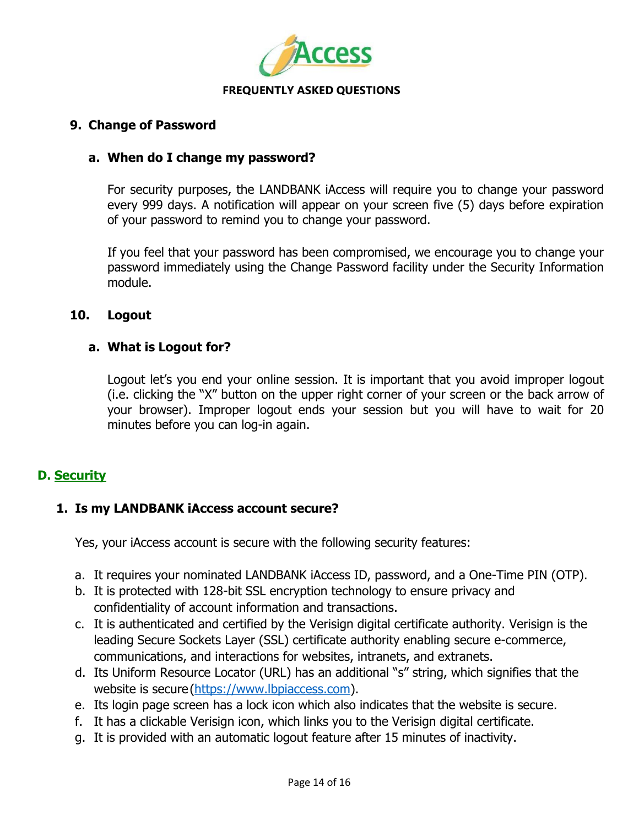

# **9. Change of Password**

# **a. When do I change my password?**

For security purposes, the LANDBANK iAccess will require you to change your password every 999 days. A notification will appear on your screen five (5) days before expiration of your password to remind you to change your password.

If you feel that your password has been compromised, we encourage you to change your password immediately using the Change Password facility under the Security Information module.

### **10. Logout**

# **a. What is Logout for?**

Logout let's you end your online session. It is important that you avoid improper logout (i.e. clicking the "X" button on the upper right corner of your screen or the back arrow of your browser). Improper logout ends your session but you will have to wait for 20 minutes before you can log-in again.

# **D. Security**

# **1. Is my LANDBANK iAccess account secure?**

Yes, your iAccess account is secure with the following security features:

- a. It requires your nominated LANDBANK iAccess ID, password, and a One-Time PIN (OTP).
- b. It is protected with 128-bit SSL encryption technology to ensure privacy and confidentiality of account information and transactions.
- c. It is authenticated and certified by the Verisign digital certificate authority. Verisign is the leading Secure Sockets Layer (SSL) certificate authority enabling secure e-commerce, communications, and interactions for websites, intranets, and extranets.
- d. Its Uniform Resource Locator (URL) has an additional "s" string, which signifies that the website is secure[\(https://www.lbpiaccess.com\)](https://www.lbpiaccess.com/).
- e. Its login page screen has a lock icon which also indicates that the website is secure.
- f. It has a clickable Verisign icon, which links you to the Verisign digital certificate.
- g. It is provided with an automatic logout feature after 15 minutes of inactivity.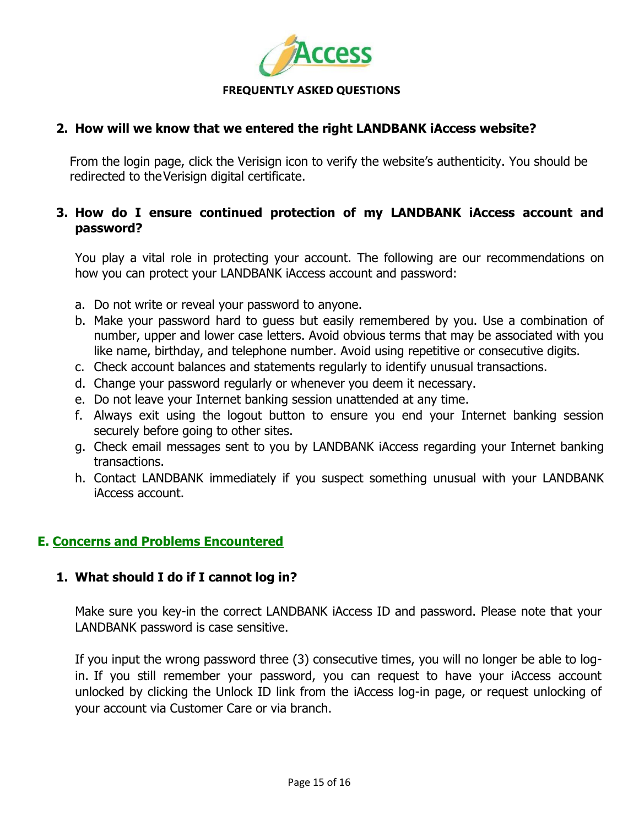

# **2. How will we know that we entered the right LANDBANK iAccess website?**

From the login page, click the Verisign icon to verify the website's authenticity. You should be redirected to theVerisign digital certificate.

# **3. How do I ensure continued protection of my LANDBANK iAccess account and password?**

You play a vital role in protecting your account. The following are our recommendations on how you can protect your LANDBANK iAccess account and password:

- a. Do not write or reveal your password to anyone.
- b. Make your password hard to guess but easily remembered by you. Use a combination of number, upper and lower case letters. Avoid obvious terms that may be associated with you like name, birthday, and telephone number. Avoid using repetitive or consecutive digits.
- c. Check account balances and statements regularly to identify unusual transactions.
- d. Change your password regularly or whenever you deem it necessary.
- e. Do not leave your Internet banking session unattended at any time.
- f. Always exit using the logout button to ensure you end your Internet banking session securely before going to other sites.
- g. Check email messages sent to you by LANDBANK iAccess regarding your Internet banking transactions.
- h. Contact LANDBANK immediately if you suspect something unusual with your LANDBANK iAccess account.

# **E. Concerns and Problems Encountered**

# **1. What should I do if I cannot log in?**

Make sure you key-in the correct LANDBANK iAccess ID and password. Please note that your LANDBANK password is case sensitive.

If you input the wrong password three (3) consecutive times, you will no longer be able to login. If you still remember your password, you can request to have your iAccess account unlocked by clicking the Unlock ID link from the iAccess log-in page, or request unlocking of your account via Customer Care or via branch.